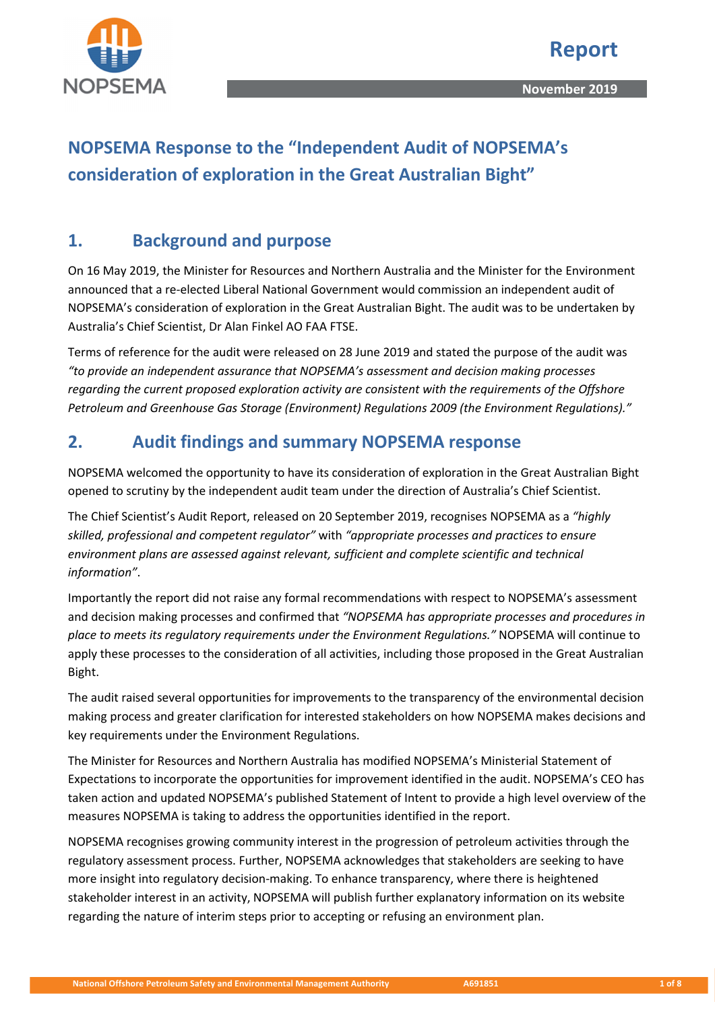

# **NOPSEMA Response to the "Independent Audit of NOPSEMA's consideration of exploration in the Great Australian Bight"**

# **1. Background and purpose**

On 16 May 2019, the Minister for Resources and Northern Australia and the Minister for the Environment announced that a re-elected Liberal National Government would commission an independent audit of NOPSEMA's consideration of exploration in the Great Australian Bight. The audit was to be undertaken by Australia's Chief Scientist, Dr Alan Finkel AO FAA FTSE.

Terms of reference for the audit were released on 28 June 2019 and stated the purpose of the audit was *"to provide an independent assurance that NOPSEMA's assessment and decision making processes regarding the current proposed exploration activity are consistent with the requirements of the Offshore Petroleum and Greenhouse Gas Storage (Environment) Regulations 2009 (the Environment Regulations)."*

# **2. Audit findings and summary NOPSEMA response**

NOPSEMA welcomed the opportunity to have its consideration of exploration in the Great Australian Bight opened to scrutiny by the independent audit team under the direction of Australia's Chief Scientist.

The Chief Scientist's Audit Report, released on 20 September 2019, recognises NOPSEMA as a *"highly skilled, professional and competent regulator"* with *"appropriate processes and practices to ensure environment plans are assessed against relevant, sufficient and complete scientific and technical information"*.

Importantly the report did not raise any formal recommendations with respect to NOPSEMA's assessment and decision making processes and confirmed that *"NOPSEMA has appropriate processes and procedures in place to meets its regulatory requirements under the Environment Regulations."* NOPSEMA will continue to apply these processes to the consideration of all activities, including those proposed in the Great Australian Bight.

The audit raised several opportunities for improvements to the transparency of the environmental decision making process and greater clarification for interested stakeholders on how NOPSEMA makes decisions and key requirements under the Environment Regulations.

The Minister for Resources and Northern Australia has modified NOPSEMA's Ministerial Statement of Expectations to incorporate the opportunities for improvement identified in the audit. NOPSEMA's CEO has taken action and updated NOPSEMA's published Statement of Intent to provide a high level overview of the measures NOPSEMA is taking to address the opportunities identified in the report.

NOPSEMA recognises growing community interest in the progression of petroleum activities through the regulatory assessment process. Further, NOPSEMA acknowledges that stakeholders are seeking to have more insight into regulatory decision-making. To enhance transparency, where there is heightened stakeholder interest in an activity, NOPSEMA will publish further explanatory information on its website regarding the nature of interim steps prior to accepting or refusing an environment plan.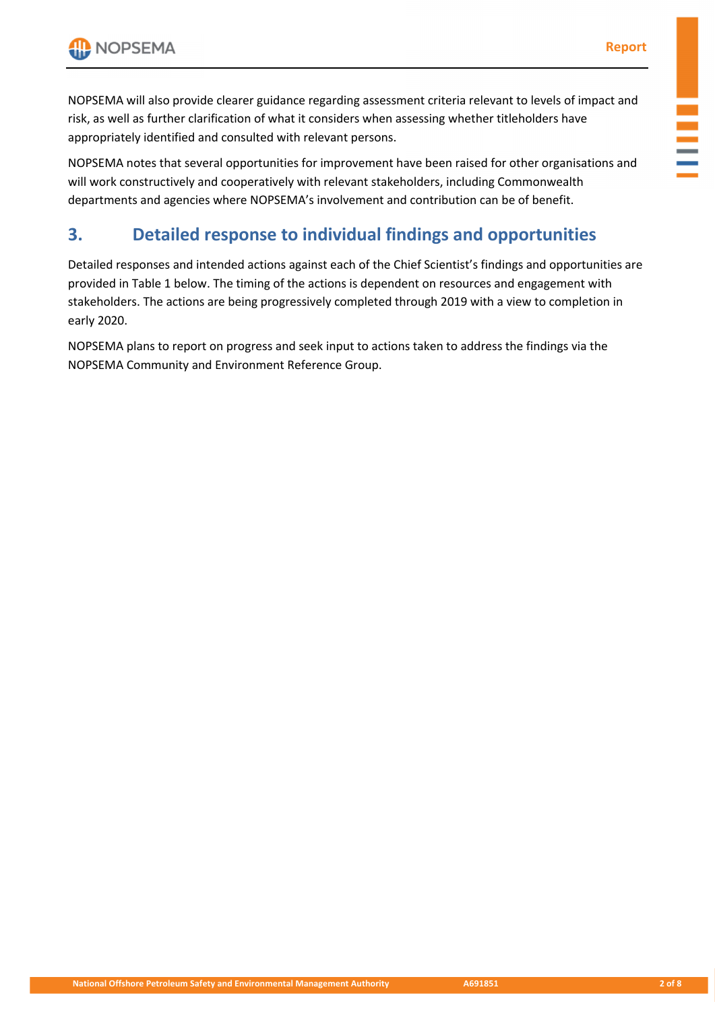NOPSEMA will also provide clearer guidance regarding assessment criteria relevant to levels of impact and risk, as well as further clarification of what it considers when assessing whether titleholders have appropriately identified and consulted with relevant persons.

NOPSEMA notes that several opportunities for improvement have been raised for other organisations and will work constructively and cooperatively with relevant stakeholders, including Commonwealth departments and agencies where NOPSEMA's involvement and contribution can be of benefit.

# **3. Detailed response to individual findings and opportunities**

Detailed responses and intended actions against each of the Chief Scientist's findings and opportunities are provided in Table 1 below. The timing of the actions is dependent on resources and engagement with stakeholders. The actions are being progressively completed through 2019 with a view to completion in early 2020.

NOPSEMA plans to report on progress and seek input to actions taken to address the findings via the NOPSEMA Community and Environment Reference Group.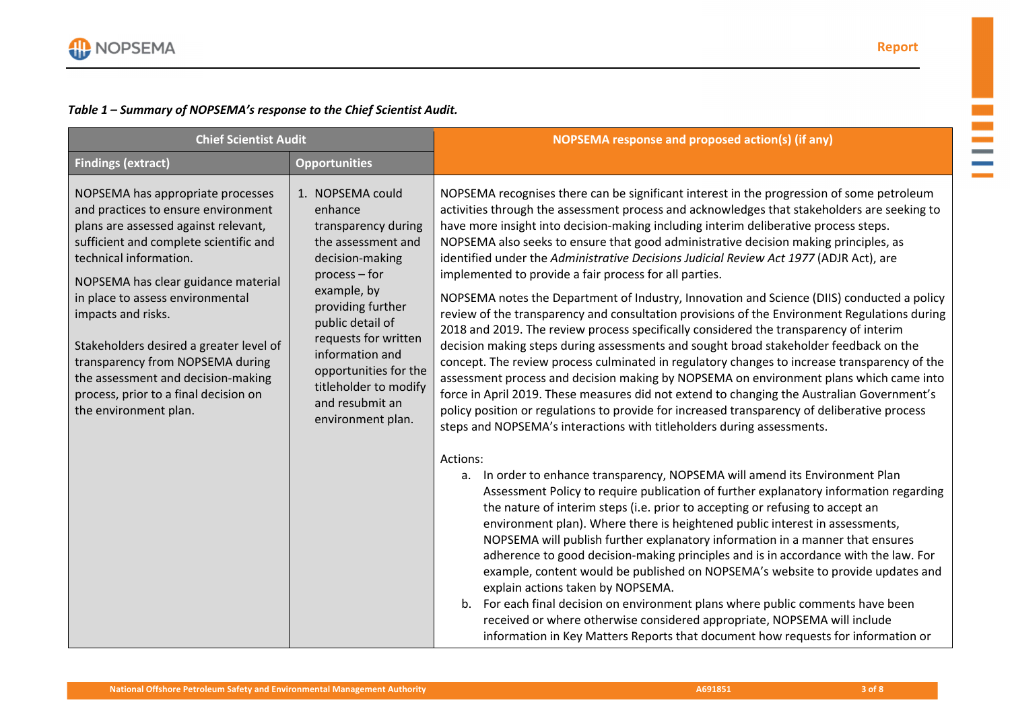$\mathcal{L}_{\mathcal{A}}$  $\sim$ **College Contract Contract** 

## *Table 1 – Summary of NOPSEMA's response to the Chief Scientist Audit.*

| <b>Chief Scientist Audit</b>                                                                                                                                                                                                                                                                                                                                                                                                                                                 |                                                                                                                                                                                                                                                                                                             | NOPSEMA response and proposed action(s) (if any)                                                                                                                                                                                                                                                                                                                                                                                                                                                                                                                                                                                                                                                                                                                                                                                                                                                                                                                                                                                                                                                                                                                                                                                                                                                                                                                                                                                                                                                                                                                                                                                                                                                                                                                                                                                                                                                                                                                                                                                                                                                                                                                                                                                                                                           |
|------------------------------------------------------------------------------------------------------------------------------------------------------------------------------------------------------------------------------------------------------------------------------------------------------------------------------------------------------------------------------------------------------------------------------------------------------------------------------|-------------------------------------------------------------------------------------------------------------------------------------------------------------------------------------------------------------------------------------------------------------------------------------------------------------|--------------------------------------------------------------------------------------------------------------------------------------------------------------------------------------------------------------------------------------------------------------------------------------------------------------------------------------------------------------------------------------------------------------------------------------------------------------------------------------------------------------------------------------------------------------------------------------------------------------------------------------------------------------------------------------------------------------------------------------------------------------------------------------------------------------------------------------------------------------------------------------------------------------------------------------------------------------------------------------------------------------------------------------------------------------------------------------------------------------------------------------------------------------------------------------------------------------------------------------------------------------------------------------------------------------------------------------------------------------------------------------------------------------------------------------------------------------------------------------------------------------------------------------------------------------------------------------------------------------------------------------------------------------------------------------------------------------------------------------------------------------------------------------------------------------------------------------------------------------------------------------------------------------------------------------------------------------------------------------------------------------------------------------------------------------------------------------------------------------------------------------------------------------------------------------------------------------------------------------------------------------------------------------------|
| <b>Findings (extract)</b>                                                                                                                                                                                                                                                                                                                                                                                                                                                    | <b>Opportunities</b>                                                                                                                                                                                                                                                                                        |                                                                                                                                                                                                                                                                                                                                                                                                                                                                                                                                                                                                                                                                                                                                                                                                                                                                                                                                                                                                                                                                                                                                                                                                                                                                                                                                                                                                                                                                                                                                                                                                                                                                                                                                                                                                                                                                                                                                                                                                                                                                                                                                                                                                                                                                                            |
| NOPSEMA has appropriate processes<br>and practices to ensure environment<br>plans are assessed against relevant,<br>sufficient and complete scientific and<br>technical information.<br>NOPSEMA has clear guidance material<br>in place to assess environmental<br>impacts and risks.<br>Stakeholders desired a greater level of<br>transparency from NOPSEMA during<br>the assessment and decision-making<br>process, prior to a final decision on<br>the environment plan. | 1. NOPSEMA could<br>enhance<br>transparency during<br>the assessment and<br>decision-making<br>$process - for$<br>example, by<br>providing further<br>public detail of<br>requests for written<br>information and<br>opportunities for the<br>titleholder to modify<br>and resubmit an<br>environment plan. | NOPSEMA recognises there can be significant interest in the progression of some petroleum<br>activities through the assessment process and acknowledges that stakeholders are seeking to<br>have more insight into decision-making including interim deliberative process steps.<br>NOPSEMA also seeks to ensure that good administrative decision making principles, as<br>identified under the Administrative Decisions Judicial Review Act 1977 (ADJR Act), are<br>implemented to provide a fair process for all parties.<br>NOPSEMA notes the Department of Industry, Innovation and Science (DIIS) conducted a policy<br>review of the transparency and consultation provisions of the Environment Regulations during<br>2018 and 2019. The review process specifically considered the transparency of interim<br>decision making steps during assessments and sought broad stakeholder feedback on the<br>concept. The review process culminated in regulatory changes to increase transparency of the<br>assessment process and decision making by NOPSEMA on environment plans which came into<br>force in April 2019. These measures did not extend to changing the Australian Government's<br>policy position or regulations to provide for increased transparency of deliberative process<br>steps and NOPSEMA's interactions with titleholders during assessments.<br>Actions:<br>a. In order to enhance transparency, NOPSEMA will amend its Environment Plan<br>Assessment Policy to require publication of further explanatory information regarding<br>the nature of interim steps (i.e. prior to accepting or refusing to accept an<br>environment plan). Where there is heightened public interest in assessments,<br>NOPSEMA will publish further explanatory information in a manner that ensures<br>adherence to good decision-making principles and is in accordance with the law. For<br>example, content would be published on NOPSEMA's website to provide updates and<br>explain actions taken by NOPSEMA.<br>For each final decision on environment plans where public comments have been<br>b.<br>received or where otherwise considered appropriate, NOPSEMA will include<br>information in Key Matters Reports that document how requests for information or |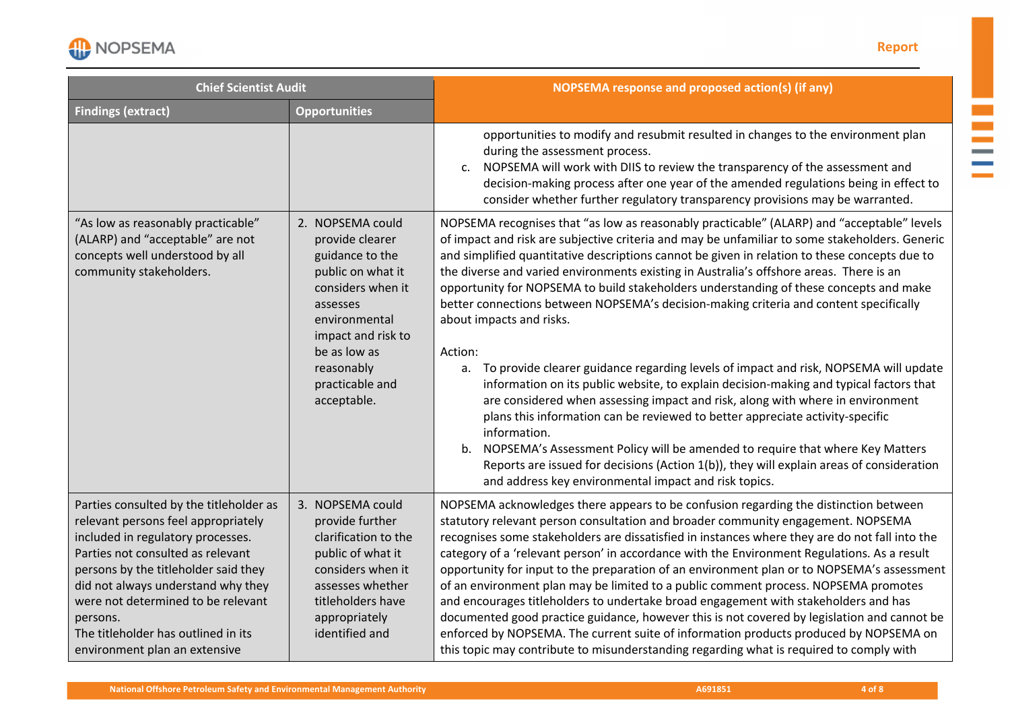

### **Report**

m,  $\mathbb{R}^2$  $\sim$  $\sim$ **Contract Contract** 

| <b>Chief Scientist Audit</b>                                                                                                                                                                                                                                                                                                                                     |                                                                                                                                                                                                                     | <b>NOPSEMA response and proposed action(s) (if any)</b>                                                                                                                                                                                                                                                                                                                                                                                                                                                                                                                                                                                                                                                                                                                                                                                                                                                                                                                                                                                                                                                                                                                                                                                 |
|------------------------------------------------------------------------------------------------------------------------------------------------------------------------------------------------------------------------------------------------------------------------------------------------------------------------------------------------------------------|---------------------------------------------------------------------------------------------------------------------------------------------------------------------------------------------------------------------|-----------------------------------------------------------------------------------------------------------------------------------------------------------------------------------------------------------------------------------------------------------------------------------------------------------------------------------------------------------------------------------------------------------------------------------------------------------------------------------------------------------------------------------------------------------------------------------------------------------------------------------------------------------------------------------------------------------------------------------------------------------------------------------------------------------------------------------------------------------------------------------------------------------------------------------------------------------------------------------------------------------------------------------------------------------------------------------------------------------------------------------------------------------------------------------------------------------------------------------------|
| <b>Findings (extract)</b>                                                                                                                                                                                                                                                                                                                                        | <b>Opportunities</b>                                                                                                                                                                                                |                                                                                                                                                                                                                                                                                                                                                                                                                                                                                                                                                                                                                                                                                                                                                                                                                                                                                                                                                                                                                                                                                                                                                                                                                                         |
|                                                                                                                                                                                                                                                                                                                                                                  |                                                                                                                                                                                                                     | opportunities to modify and resubmit resulted in changes to the environment plan<br>during the assessment process.<br>NOPSEMA will work with DIIS to review the transparency of the assessment and<br>C.<br>decision-making process after one year of the amended regulations being in effect to<br>consider whether further regulatory transparency provisions may be warranted.                                                                                                                                                                                                                                                                                                                                                                                                                                                                                                                                                                                                                                                                                                                                                                                                                                                       |
| "As low as reasonably practicable"<br>(ALARP) and "acceptable" are not<br>concepts well understood by all<br>community stakeholders.                                                                                                                                                                                                                             | 2. NOPSEMA could<br>provide clearer<br>guidance to the<br>public on what it<br>considers when it<br>assesses<br>environmental<br>impact and risk to<br>be as low as<br>reasonably<br>practicable and<br>acceptable. | NOPSEMA recognises that "as low as reasonably practicable" (ALARP) and "acceptable" levels<br>of impact and risk are subjective criteria and may be unfamiliar to some stakeholders. Generic<br>and simplified quantitative descriptions cannot be given in relation to these concepts due to<br>the diverse and varied environments existing in Australia's offshore areas. There is an<br>opportunity for NOPSEMA to build stakeholders understanding of these concepts and make<br>better connections between NOPSEMA's decision-making criteria and content specifically<br>about impacts and risks.<br>Action:<br>To provide clearer guidance regarding levels of impact and risk, NOPSEMA will update<br>a.<br>information on its public website, to explain decision-making and typical factors that<br>are considered when assessing impact and risk, along with where in environment<br>plans this information can be reviewed to better appreciate activity-specific<br>information.<br>b. NOPSEMA's Assessment Policy will be amended to require that where Key Matters<br>Reports are issued for decisions (Action 1(b)), they will explain areas of consideration<br>and address key environmental impact and risk topics. |
| Parties consulted by the titleholder as<br>relevant persons feel appropriately<br>included in regulatory processes.<br>Parties not consulted as relevant<br>persons by the titleholder said they<br>did not always understand why they<br>were not determined to be relevant<br>persons.<br>The titleholder has outlined in its<br>environment plan an extensive | 3. NOPSEMA could<br>provide further<br>clarification to the<br>public of what it<br>considers when it<br>assesses whether<br>titleholders have<br>appropriately<br>identified and                                   | NOPSEMA acknowledges there appears to be confusion regarding the distinction between<br>statutory relevant person consultation and broader community engagement. NOPSEMA<br>recognises some stakeholders are dissatisfied in instances where they are do not fall into the<br>category of a 'relevant person' in accordance with the Environment Regulations. As a result<br>opportunity for input to the preparation of an environment plan or to NOPSEMA's assessment<br>of an environment plan may be limited to a public comment process. NOPSEMA promotes<br>and encourages titleholders to undertake broad engagement with stakeholders and has<br>documented good practice guidance, however this is not covered by legislation and cannot be<br>enforced by NOPSEMA. The current suite of information products produced by NOPSEMA on<br>this topic may contribute to misunderstanding regarding what is required to comply with                                                                                                                                                                                                                                                                                                |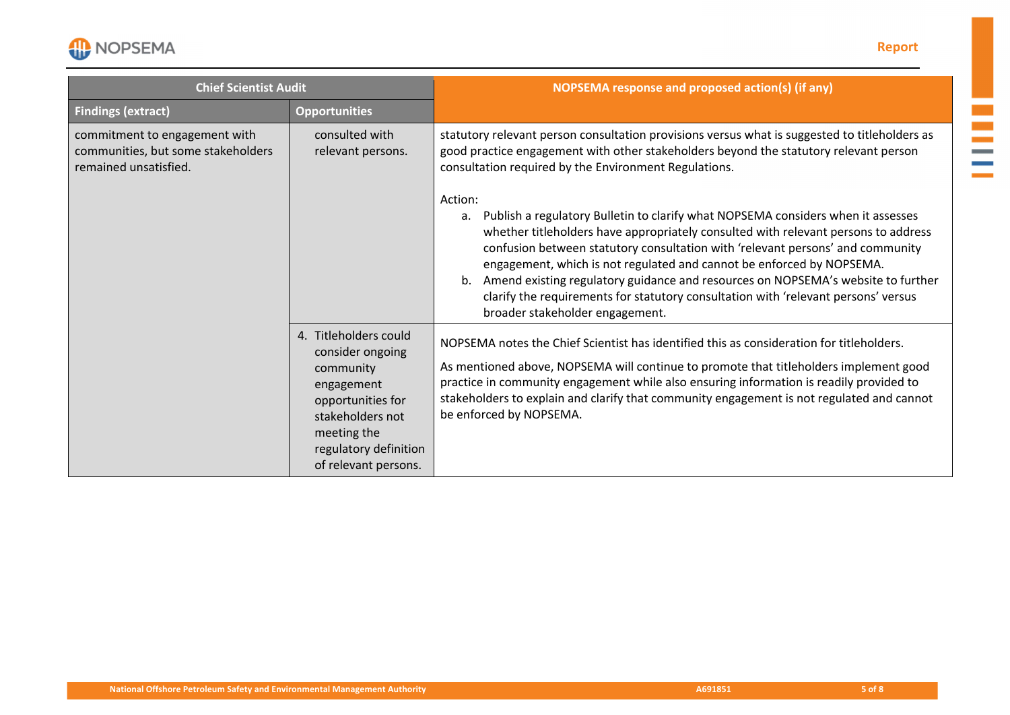

### **Report**

m,  $\mathbb{R}^2$  $\sim$  $\sim$ **Contract Contract** 

| <b>Chief Scientist Audit</b>                                                                 |                                                                                                                                                                               | NOPSEMA response and proposed action(s) (if any)                                                                                                                                                                                                                                                                                                                                                                                                                                                                                                                   |
|----------------------------------------------------------------------------------------------|-------------------------------------------------------------------------------------------------------------------------------------------------------------------------------|--------------------------------------------------------------------------------------------------------------------------------------------------------------------------------------------------------------------------------------------------------------------------------------------------------------------------------------------------------------------------------------------------------------------------------------------------------------------------------------------------------------------------------------------------------------------|
| <b>Findings (extract)</b>                                                                    | <b>Opportunities</b>                                                                                                                                                          |                                                                                                                                                                                                                                                                                                                                                                                                                                                                                                                                                                    |
| commitment to engagement with<br>communities, but some stakeholders<br>remained unsatisfied. | consulted with<br>relevant persons.                                                                                                                                           | statutory relevant person consultation provisions versus what is suggested to titleholders as<br>good practice engagement with other stakeholders beyond the statutory relevant person<br>consultation required by the Environment Regulations.                                                                                                                                                                                                                                                                                                                    |
|                                                                                              |                                                                                                                                                                               | Action:<br>Publish a regulatory Bulletin to clarify what NOPSEMA considers when it assesses<br>а.<br>whether titleholders have appropriately consulted with relevant persons to address<br>confusion between statutory consultation with 'relevant persons' and community<br>engagement, which is not regulated and cannot be enforced by NOPSEMA.<br>b. Amend existing regulatory guidance and resources on NOPSEMA's website to further<br>clarify the requirements for statutory consultation with 'relevant persons' versus<br>broader stakeholder engagement. |
|                                                                                              | 4. Titleholders could<br>consider ongoing<br>community<br>engagement<br>opportunities for<br>stakeholders not<br>meeting the<br>regulatory definition<br>of relevant persons. | NOPSEMA notes the Chief Scientist has identified this as consideration for titleholders.<br>As mentioned above, NOPSEMA will continue to promote that titleholders implement good<br>practice in community engagement while also ensuring information is readily provided to<br>stakeholders to explain and clarify that community engagement is not regulated and cannot<br>be enforced by NOPSEMA.                                                                                                                                                               |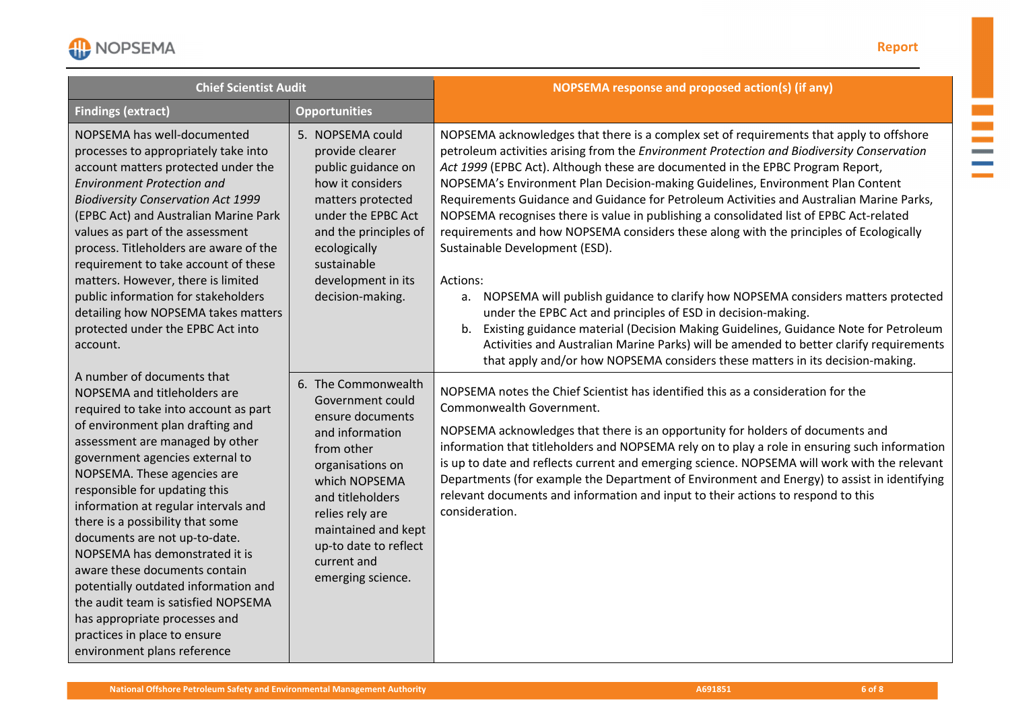

m.  $\mathbb{R}^2$  $\mathcal{L}^{\mathcal{L}}$ and a **Contract** 

| <b>Chief Scientist Audit</b>                                                                                                                                                                                                                                                                                                                                                                                                                                                                                                                                                                                                                 |                                                                                                                                                                                                                                                              | NOPSEMA response and proposed action(s) (if any)                                                                                                                                                                                                                                                                                                                                                                                                                                                                                                                                                                                                                                                                                                                                                                                                                                                                                                                                                                                                                                                                         |
|----------------------------------------------------------------------------------------------------------------------------------------------------------------------------------------------------------------------------------------------------------------------------------------------------------------------------------------------------------------------------------------------------------------------------------------------------------------------------------------------------------------------------------------------------------------------------------------------------------------------------------------------|--------------------------------------------------------------------------------------------------------------------------------------------------------------------------------------------------------------------------------------------------------------|--------------------------------------------------------------------------------------------------------------------------------------------------------------------------------------------------------------------------------------------------------------------------------------------------------------------------------------------------------------------------------------------------------------------------------------------------------------------------------------------------------------------------------------------------------------------------------------------------------------------------------------------------------------------------------------------------------------------------------------------------------------------------------------------------------------------------------------------------------------------------------------------------------------------------------------------------------------------------------------------------------------------------------------------------------------------------------------------------------------------------|
| <b>Findings (extract)</b>                                                                                                                                                                                                                                                                                                                                                                                                                                                                                                                                                                                                                    | <b>Opportunities</b>                                                                                                                                                                                                                                         |                                                                                                                                                                                                                                                                                                                                                                                                                                                                                                                                                                                                                                                                                                                                                                                                                                                                                                                                                                                                                                                                                                                          |
| NOPSEMA has well-documented<br>processes to appropriately take into<br>account matters protected under the<br><b>Environment Protection and</b><br><b>Biodiversity Conservation Act 1999</b><br>(EPBC Act) and Australian Marine Park<br>values as part of the assessment<br>process. Titleholders are aware of the<br>requirement to take account of these<br>matters. However, there is limited<br>public information for stakeholders<br>detailing how NOPSEMA takes matters<br>protected under the EPBC Act into<br>account.                                                                                                             | 5. NOPSEMA could<br>provide clearer<br>public guidance on<br>how it considers<br>matters protected<br>under the EPBC Act<br>and the principles of<br>ecologically<br>sustainable<br>development in its<br>decision-making.                                   | NOPSEMA acknowledges that there is a complex set of requirements that apply to offshore<br>petroleum activities arising from the Environment Protection and Biodiversity Conservation<br>Act 1999 (EPBC Act). Although these are documented in the EPBC Program Report,<br>NOPSEMA's Environment Plan Decision-making Guidelines, Environment Plan Content<br>Requirements Guidance and Guidance for Petroleum Activities and Australian Marine Parks,<br>NOPSEMA recognises there is value in publishing a consolidated list of EPBC Act-related<br>requirements and how NOPSEMA considers these along with the principles of Ecologically<br>Sustainable Development (ESD).<br>Actions:<br>a. NOPSEMA will publish guidance to clarify how NOPSEMA considers matters protected<br>under the EPBC Act and principles of ESD in decision-making.<br>Existing guidance material (Decision Making Guidelines, Guidance Note for Petroleum<br>b.<br>Activities and Australian Marine Parks) will be amended to better clarify requirements<br>that apply and/or how NOPSEMA considers these matters in its decision-making. |
| A number of documents that<br>NOPSEMA and titleholders are<br>required to take into account as part<br>of environment plan drafting and<br>assessment are managed by other<br>government agencies external to<br>NOPSEMA. These agencies are<br>responsible for updating this<br>information at regular intervals and<br>there is a possibility that some<br>documents are not up-to-date.<br>NOPSEMA has demonstrated it is<br>aware these documents contain<br>potentially outdated information and<br>the audit team is satisfied NOPSEMA<br>has appropriate processes and<br>practices in place to ensure<br>environment plans reference | 6. The Commonwealth<br>Government could<br>ensure documents<br>and information<br>from other<br>organisations on<br>which NOPSEMA<br>and titleholders<br>relies rely are<br>maintained and kept<br>up-to date to reflect<br>current and<br>emerging science. | NOPSEMA notes the Chief Scientist has identified this as a consideration for the<br>Commonwealth Government.<br>NOPSEMA acknowledges that there is an opportunity for holders of documents and<br>information that titleholders and NOPSEMA rely on to play a role in ensuring such information<br>is up to date and reflects current and emerging science. NOPSEMA will work with the relevant<br>Departments (for example the Department of Environment and Energy) to assist in identifying<br>relevant documents and information and input to their actions to respond to this<br>consideration.                                                                                                                                                                                                                                                                                                                                                                                                                                                                                                                     |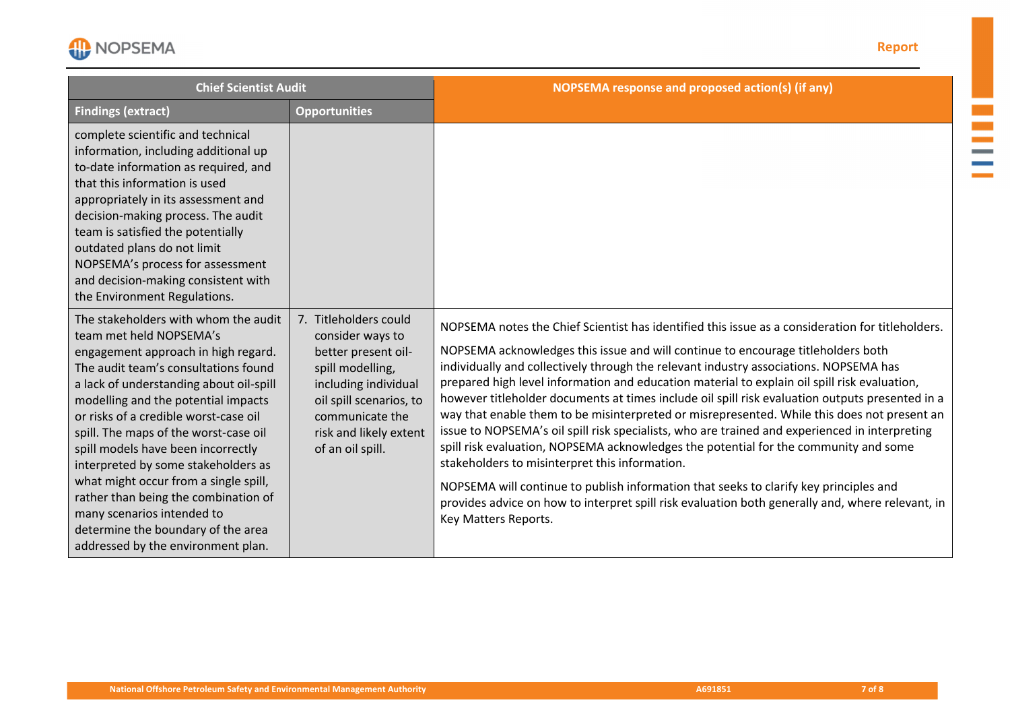NOPSEMA

### **Report**

m.  $\mathcal{L}_{\mathcal{A}}$  $\mathcal{L}$ **Contract Contract** 

| <b>Chief Scientist Audit</b>                                                                                                                                                                                                                                                                                                                                                                                                                                                                                                                                                               |                                                                                                                                                                                                          | NOPSEMA response and proposed action(s) (if any)                                                                                                                                                                                                                                                                                                                                                                                                                                                                                                                                                                                                                                                                                                                                                                                                                                                                                                                                                                                                 |
|--------------------------------------------------------------------------------------------------------------------------------------------------------------------------------------------------------------------------------------------------------------------------------------------------------------------------------------------------------------------------------------------------------------------------------------------------------------------------------------------------------------------------------------------------------------------------------------------|----------------------------------------------------------------------------------------------------------------------------------------------------------------------------------------------------------|--------------------------------------------------------------------------------------------------------------------------------------------------------------------------------------------------------------------------------------------------------------------------------------------------------------------------------------------------------------------------------------------------------------------------------------------------------------------------------------------------------------------------------------------------------------------------------------------------------------------------------------------------------------------------------------------------------------------------------------------------------------------------------------------------------------------------------------------------------------------------------------------------------------------------------------------------------------------------------------------------------------------------------------------------|
| <b>Findings (extract)</b>                                                                                                                                                                                                                                                                                                                                                                                                                                                                                                                                                                  | <b>Opportunities</b>                                                                                                                                                                                     |                                                                                                                                                                                                                                                                                                                                                                                                                                                                                                                                                                                                                                                                                                                                                                                                                                                                                                                                                                                                                                                  |
| complete scientific and technical<br>information, including additional up<br>to-date information as required, and<br>that this information is used<br>appropriately in its assessment and<br>decision-making process. The audit<br>team is satisfied the potentially<br>outdated plans do not limit<br>NOPSEMA's process for assessment<br>and decision-making consistent with<br>the Environment Regulations.                                                                                                                                                                             |                                                                                                                                                                                                          |                                                                                                                                                                                                                                                                                                                                                                                                                                                                                                                                                                                                                                                                                                                                                                                                                                                                                                                                                                                                                                                  |
| The stakeholders with whom the audit<br>team met held NOPSEMA's<br>engagement approach in high regard.<br>The audit team's consultations found<br>a lack of understanding about oil-spill<br>modelling and the potential impacts<br>or risks of a credible worst-case oil<br>spill. The maps of the worst-case oil<br>spill models have been incorrectly<br>interpreted by some stakeholders as<br>what might occur from a single spill,<br>rather than being the combination of<br>many scenarios intended to<br>determine the boundary of the area<br>addressed by the environment plan. | 7. Titleholders could<br>consider ways to<br>better present oil-<br>spill modelling,<br>including individual<br>oil spill scenarios, to<br>communicate the<br>risk and likely extent<br>of an oil spill. | NOPSEMA notes the Chief Scientist has identified this issue as a consideration for titleholders.<br>NOPSEMA acknowledges this issue and will continue to encourage titleholders both<br>individually and collectively through the relevant industry associations. NOPSEMA has<br>prepared high level information and education material to explain oil spill risk evaluation,<br>however titleholder documents at times include oil spill risk evaluation outputs presented in a<br>way that enable them to be misinterpreted or misrepresented. While this does not present an<br>issue to NOPSEMA's oil spill risk specialists, who are trained and experienced in interpreting<br>spill risk evaluation, NOPSEMA acknowledges the potential for the community and some<br>stakeholders to misinterpret this information.<br>NOPSEMA will continue to publish information that seeks to clarify key principles and<br>provides advice on how to interpret spill risk evaluation both generally and, where relevant, in<br>Key Matters Reports. |